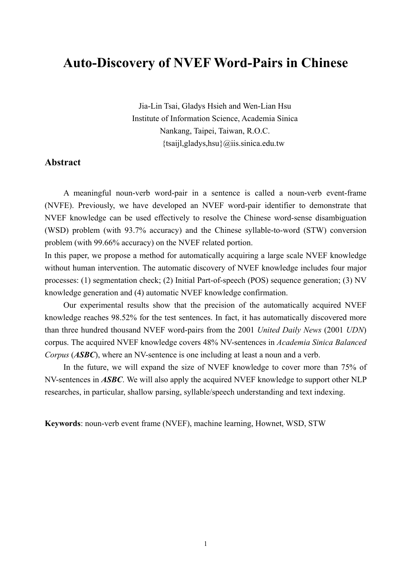# **Auto-Discovery of NVEF Word-Pairs in Chinese**

Jia-Lin Tsai, Gladys Hsieh and Wen-Lian Hsu Institute of Information Science, Academia Sinica Nankang, Taipei, Taiwan, R.O.C. {tsaijl,gladys,hsu}@iis.sinica.edu.tw

### **Abstract**

A meaningful noun-verb word-pair in a sentence is called a noun-verb event-frame (NVFE). Previously, we have developed an NVEF word-pair identifier to demonstrate that NVEF knowledge can be used effectively to resolve the Chinese word-sense disambiguation (WSD) problem (with 93.7% accuracy) and the Chinese syllable-to-word (STW) conversion problem (with 99.66% accuracy) on the NVEF related portion.

In this paper, we propose a method for automatically acquiring a large scale NVEF knowledge without human intervention. The automatic discovery of NVEF knowledge includes four major processes: (1) segmentation check; (2) Initial Part-of-speech (POS) sequence generation; (3) NV knowledge generation and (4) automatic NVEF knowledge confirmation.

Our experimental results show that the precision of the automatically acquired NVEF knowledge reaches 98.52% for the test sentences. In fact, it has automatically discovered more than three hundred thousand NVEF word-pairs from the 2001 *United Daily News* (2001 *UDN*) corpus. The acquired NVEF knowledge covers 48% NV-sentences in *Academia Sinica Balanced Corpus* (*ASBC*), where an NV-sentence is one including at least a noun and a verb.

In the future, we will expand the size of NVEF knowledge to cover more than 75% of NV-sentences in *ASBC*. We will also apply the acquired NVEF knowledge to support other NLP researches, in particular, shallow parsing, syllable/speech understanding and text indexing.

**Keywords**: noun-verb event frame (NVEF), machine learning, Hownet, WSD, STW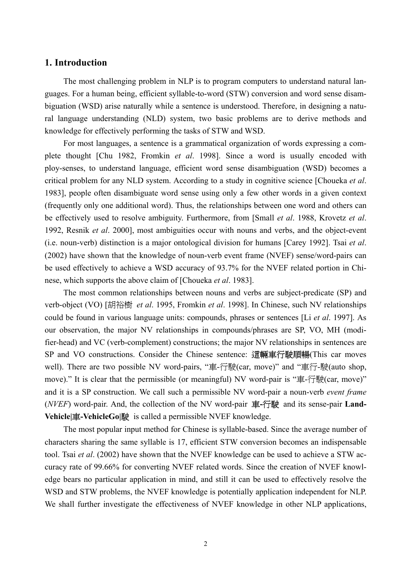### **1. Introduction**

The most challenging problem in NLP is to program computers to understand natural languages. For a human being, efficient syllable-to-word (STW) conversion and word sense disambiguation (WSD) arise naturally while a sentence is understood. Therefore, in designing a natural language understanding (NLD) system, two basic problems are to derive methods and knowledge for effectively performing the tasks of STW and WSD.

For most languages, a sentence is a grammatical organization of words expressing a complete thought [Chu 1982, Fromkin *et al*. 1998]. Since a word is usually encoded with ploy-senses, to understand language, efficient word sense disambiguation (WSD) becomes a critical problem for any NLD system. According to a study in cognitive science [Choueka *et al*. 1983], people often disambiguate word sense using only a few other words in a given context (frequently only one additional word). Thus, the relationships between one word and others can be effectively used to resolve ambiguity. Furthermore, from [Small *et al*. 1988, Krovetz *et al*. 1992, Resnik *et al*. 2000], most ambiguities occur with nouns and verbs, and the object-event (i.e. noun-verb) distinction is a major ontological division for humans [Carey 1992]. Tsai *et al*. (2002) have shown that the knowledge of noun-verb event frame (NVEF) sense/word-pairs can be used effectively to achieve a WSD accuracy of 93.7% for the NVEF related portion in Chinese, which supports the above claim of [Choueka *et al*. 1983].

The most common relationships between nouns and verbs are subject-predicate (SP) and verb-object (VO) [胡裕樹 *et al*. 1995, Fromkin *et al*. 1998]. In Chinese, such NV relationships could be found in various language units: compounds, phrases or sentences [Li *et al*. 1997]. As our observation, the major NV relationships in compounds/phrases are SP, VO, MH (modifier-head) and VC (verb-complement) constructions; the major NV relationships in sentences are SP and VO constructions. Consider the Chinese sentence: 這輛車行駛順暢(This car moves well). There are two possible NV word-pairs, "車-行駛(car, move)" and "車行-駛(auto shop, move)." It is clear that the permissible (or meaningful) NV word-pair is "車-行駛(car, move)" and it is a SP construction. We call such a permissible NV word-pair a noun-verb *event frame* (*NVEF*) word-pair. And, the collection of the NV word-pair 車**-**行駛 and its sense-pair **Land-Vehicle|**車**-VehicleGo|**駛 is called a permissible NVEF knowledge.

The most popular input method for Chinese is syllable-based. Since the average number of characters sharing the same syllable is 17, efficient STW conversion becomes an indispensable tool. Tsai *et al*. (2002) have shown that the NVEF knowledge can be used to achieve a STW accuracy rate of 99.66% for converting NVEF related words. Since the creation of NVEF knowledge bears no particular application in mind, and still it can be used to effectively resolve the WSD and STW problems, the NVEF knowledge is potentially application independent for NLP. We shall further investigate the effectiveness of NVEF knowledge in other NLP applications,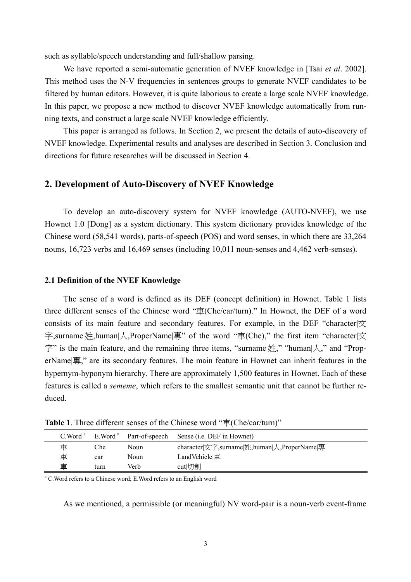such as syllable/speech understanding and full/shallow parsing.

We have reported a semi-automatic generation of NVEF knowledge in [Tsai *et al*. 2002]. This method uses the N-V frequencies in sentences groups to generate NVEF candidates to be filtered by human editors. However, it is quite laborious to create a large scale NVEF knowledge. In this paper, we propose a new method to discover NVEF knowledge automatically from running texts, and construct a large scale NVEF knowledge efficiently.

This paper is arranged as follows. In Section 2, we present the details of auto-discovery of NVEF knowledge. Experimental results and analyses are described in Section 3. Conclusion and directions for future researches will be discussed in Section 4.

## **2. Development of Auto-Discovery of NVEF Knowledge**

To develop an auto-discovery system for NVEF knowledge (AUTO-NVEF), we use Hownet 1.0 [Dong] as a system dictionary. This system dictionary provides knowledge of the Chinese word (58,541 words), parts-of-speech (POS) and word senses, in which there are 33,264 nouns, 16,723 verbs and 16,469 senses (including 10,011 noun-senses and 4,462 verb-senses).

#### **2.1 Definition of the NVEF Knowledge**

The sense of a word is defined as its DEF (concept definition) in Hownet. Table 1 lists three different senses of the Chinese word "車(Che/car/turn)." In Hownet, the DEF of a word consists of its main feature and secondary features. For example, in the DEF "character| $\overline{\chi}$ 字,surname|姓,human|人,ProperName|專" of the word "車(Che)," the first item "character|文 字" is the main feature, and the remaining three items, "surname|姓," "human|人," and "ProperName|專," are its secondary features. The main feature in Hownet can inherit features in the hypernym-hyponym hierarchy. There are approximately 1,500 features in Hownet. Each of these features is called a *sememe*, which refers to the smallest semantic unit that cannot be further reduced.

| C. Word <sup>a</sup> | E.Word <sup>a</sup> | Part-of-speech | Sense ( <i>i.e.</i> DEF in Hownet)                   |
|----------------------|---------------------|----------------|------------------------------------------------------|
| 車                    | Che                 | Noun           | character  文字, surname  姓, human   人, ProperName   專 |
| 車                    | car                 | <b>Noun</b>    | LandVehicle 車                                        |
| 車                    | turn                | Verb           | cutl切削                                               |
|                      |                     |                |                                                      |

Table 1. Three different senses of the Chinese word "車(Che/car/turn)"

<sup>a</sup> C.Word refers to a Chinese word; E.Word refers to an English word

As we mentioned, a permissible (or meaningful) NV word-pair is a noun-verb event-frame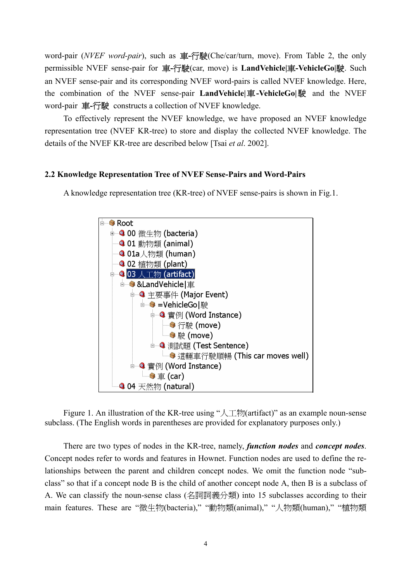word-pair (*NVEF word-pair*), such as 車**-**行駛(Che/car/turn, move). From Table 2, the only permissible NVEF sense-pair for 車**-**行駛(car, move) is **LandVehicle|**車**-VehicleGo|**駛. Such an NVEF sense-pair and its corresponding NVEF word-pairs is called NVEF knowledge. Here, the combination of the NVEF sense-pair **LandVehicle|**車**-VehicleGo|**駛 and the NVEF word-pair 車**-**行駛 constructs a collection of NVEF knowledge.

To effectively represent the NVEF knowledge, we have proposed an NVEF knowledge representation tree (NVEF KR-tree) to store and display the collected NVEF knowledge. The details of the NVEF KR-tree are described below [Tsai *et al*. 2002].

#### **2.2 Knowledge Representation Tree of NVEF Sense-Pairs and Word-Pairs**

A knowledge representation tree (KR-tree) of NVEF sense-pairs is shown in Fig.1.



Figure 1. An illustration of the KR-tree using " $\lambda \top$ *m* (artifact)" as an example noun-sense subclass. (The English words in parentheses are provided for explanatory purposes only.)

There are two types of nodes in the KR-tree, namely, *function nodes* and *concept nodes*. Concept nodes refer to words and features in Hownet. Function nodes are used to define the relationships between the parent and children concept nodes. We omit the function node "subclass" so that if a concept node B is the child of another concept node A, then B is a subclass of A. We can classify the noun-sense class (名詞詞義分類) into 15 subclasses according to their main features. These are "微生物(bacteria)," "動物類(animal)," "人物類(human)," "植物類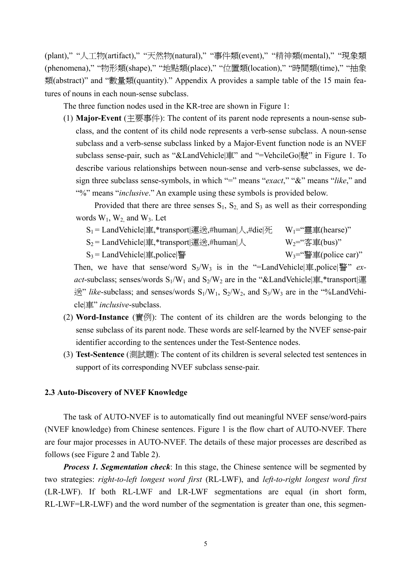(plant)," "人工物(artifact)," "天然物(natural)," "事件類(event)," "精神類(mental)," "現象類 (phenomena)," "物形類(shape)," "地點類(place)," "位置類(location)," "時間類(time)," "抽象 類(abstract)" and "數量類(quantity)." Appendix A provides a sample table of the 15 main features of nouns in each noun-sense subclass.

The three function nodes used in the KR-tree are shown in Figure 1:

(1) **Major-Event** (主要事件): The content of its parent node represents a noun-sense subclass, and the content of its child node represents a verb-sense subclass. A noun-sense subclass and a verb-sense subclass linked by a Major-Event function node is an NVEF subclass sense-pair, such as "&LandVehicle|車" and "=VehcileGo|駛" in Figure 1. To describe various relationships between noun-sense and verb-sense subclasses, we design three subclass sense-symbols, in which "=" means "*exact*," "&" means "*like*," and "%" means "*inclusive*." An example using these symbols is provided below.

Provided that there are three senses  $S_1$ ,  $S_2$ , and  $S_3$  as well as their corresponding words  $W_1$ ,  $W_2$  and  $W_3$ . Let

 $S_1 =$  LandVehicle|車,\*transport|運送,#human|人,#die|死 W<sub>1</sub>="靈車(hearse)"

 $S_2$  = LandVehicle|車,\*transport|運送,#human|人  $W_2$ ="客車(bus)"

 $S_3 =$  LandVehicle|車, police|警 W<sub>3</sub>="警車(police car)"

Then, we have that sense/word  $S_3/W_3$  is in the "=LandVehicle<sup>[orderright</sup>]  $\frac{1}{2}$  *exact*-subclass; senses/words  $S_1/W_1$  and  $S_2/W_2$  are in the "&LandVehicle|車,\*transport|運  $\mathcal{L}^{\mathcal{L}^{\mathcal{L}}}$  *like*-subclass; and senses/words  $S_1/W_1$ ,  $S_2/W_2$ , and  $S_3/W_3$  are in the "%LandVehicle|車" *inclusive*-subclass.

- (2) **Word-Instance** (實例): The content of its children are the words belonging to the sense subclass of its parent node. These words are self-learned by the NVEF sense-pair identifier according to the sentences under the Test-Sentence nodes.
- (3) **Test-Sentence** (測試題): The content of its children is several selected test sentences in support of its corresponding NVEF subclass sense-pair.

#### **2.3 Auto-Discovery of NVEF Knowledge**

The task of AUTO-NVEF is to automatically find out meaningful NVEF sense/word-pairs (NVEF knowledge) from Chinese sentences. Figure 1 is the flow chart of AUTO-NVEF. There are four major processes in AUTO-NVEF. The details of these major processes are described as follows (see Figure 2 and Table 2).

*Process 1. Segmentation check*: In this stage, the Chinese sentence will be segmented by two strategies: *right-to-left longest word first* (RL-LWF), and *left-to-right longest word first* (LR-LWF). If both RL-LWF and LR-LWF segmentations are equal (in short form, RL-LWF=LR-LWF) and the word number of the segmentation is greater than one, this segmen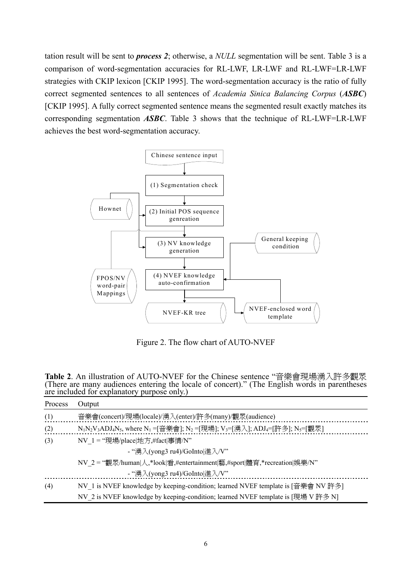tation result will be sent to *process 2*; otherwise, a *NULL* segmentation will be sent. Table 3 is a comparison of word-segmentation accuracies for RL-LWF, LR-LWF and RL-LWF=LR-LWF strategies with CKIP lexicon [CKIP 1995]. The word-segmentation accuracy is the ratio of fully correct segmented sentences to all sentences of *Academia Sinica Balancing Corpus* (*ASBC*) [CKIP 1995]. A fully correct segmented sentence means the segmented result exactly matches its corresponding segmentation *ASBC*. Table 3 shows that the technique of RL-LWF=LR-LWF achieves the best word-segmentation accuracy.



Figure 2. The flow chart of AUTO-NVEF

| Table 2. An illustration of AUTO-NVEF for the Chinese sentence "音樂會現場湧入許多觀眾                   |
|-----------------------------------------------------------------------------------------------|
| (There are many audiences entering the locale of concert)." (The English words in parentheses |
| are included for explanatory purpose only.)                                                   |

| Process | Output                                                                                             |  |
|---------|----------------------------------------------------------------------------------------------------|--|
| (1)     | 音樂會(concert)/現場(locale)/湧入(enter)/許多(many)/觀眾(audience)                                            |  |
| (2)     | $N_1N_2V_3ADJ_4N_5$ , where $N_1 =$ 音樂會]; $N_2 =$ [現場]; $V_3 =$ [湧入]; $ADJ_4 =$ [許多]; $N_5 =$ [觀眾] |  |
| (3)     | NV 1 = "現場/place 地方,#fact 事情/N"                                                                    |  |
|         | - "湧入(yong3 ru4)/GoInto 進入/V"                                                                      |  |
|         | NV 2 = "觀眾/human 人,*look 看,#entertainment 藝,#sport 體育,*recreation 娛樂/N"                            |  |
|         | - "湧入(yong3 ru4)/GoInto 進入/V"                                                                      |  |
| (4)     | NV 1 is NVEF knowledge by keeping-condition; learned NVEF template is [音樂會 NV 許多]                  |  |
|         | NV 2 is NVEF knowledge by keeping-condition; learned NVEF template is [現場 V 許多 N]                  |  |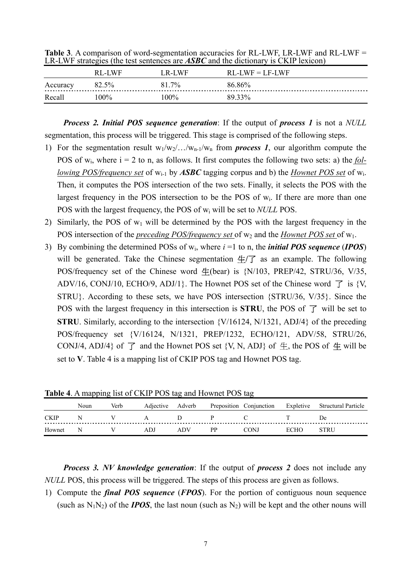|          | $\sum_{i=1}^{n} \sum_{i=1}^{n} \sum_{j=1}^{n} \sum_{j=1}^{n} \sum_{j=1}^{n} \sum_{j=1}^{n} \sum_{j=1}^{n} \sum_{j=1}^{n} \sum_{j=1}^{n} \sum_{j=1}^{n} \sum_{j=1}^{n} \sum_{j=1}^{n} \sum_{j=1}^{n} \sum_{j=1}^{n} \sum_{j=1}^{n} \sum_{j=1}^{n} \sum_{j=1}^{n} \sum_{j=1}^{n} \sum_{j=1}^{n} \sum_{j=1}^{n} \sum_{j=1}^{n} \sum_{j=1}^{n}$ |        |                   |  |  |
|----------|---------------------------------------------------------------------------------------------------------------------------------------------------------------------------------------------------------------------------------------------------------------------------------------------------------------------------------------------|--------|-------------------|--|--|
|          | RL-LWF                                                                                                                                                                                                                                                                                                                                      | LR-LWF | $RL-LWF = LF-LWF$ |  |  |
| Accuracy | 82.5%                                                                                                                                                                                                                                                                                                                                       | 81.7%  | 86.86%            |  |  |
| Recall   | 100%                                                                                                                                                                                                                                                                                                                                        | 100%   | 89 33%            |  |  |

**Table 3**. A comparison of word-segmentation accuracies for RL-LWF, LR-LWF and RL-LWF = LR-LWF strategies (the test sentences are *ASBC* and the dictionary is CKIP lexicon)

*Process 2. Initial POS sequence generation*: If the output of *process 1* is not a *NULL* segmentation, this process will be triggered. This stage is comprised of the following steps.

- 1) For the segmentation result  $w_1/w_2/.../w_{n-1}/w_n$  from *process 1*, our algorithm compute the POS of wi, where i = 2 to n, as follows. It first computes the following two sets: a) the *following POS/frequency set* of wi-1 by *ASBC* tagging corpus and b) the *Hownet POS set* of wi. Then, it computes the POS intersection of the two sets. Finally, it selects the POS with the largest frequency in the POS intersection to be the POS of w<sub>i</sub>. If there are more than one POS with the largest frequency, the POS of wi will be set to *NULL* POS.
- 2) Similarly, the POS of  $w_1$  will be determined by the POS with the largest frequency in the POS intersection of the *preceding POS/frequency set* of w<sub>2</sub> and the *Hownet POS set* of w<sub>1</sub>.
- 3) By combining the determined POSs of wi, where *i* =1 to n, the *initial POS sequence* (*IPOS*) will be generated. Take the Chinese segmentation 生**/**了 as an example. The following POS/frequency set of the Chinese word  $\pm$ (bear) is {N/103, PREP/42, STRU/36, V/35, ADV/16, CONJ/10, ECHO/9, ADJ/1}. The Hownet POS set of the Chinese word  $\vec{\mathcal{J}}$  is {V, STRU}. According to these sets, we have POS intersection {STRU/36, V/35}. Since the POS with the largest frequency in this intersection is **STRU**, the POS of  $\vec{\tau}$  will be set to **STRU**. Similarly, according to the intersection  $\{V/16124, N/1321, ADJ/4\}$  of the preceding POS/frequency set {V/16124, N/1321, PREP/1232, ECHO/121, ADV/58, STRU/26, CONJ/4, ADJ/4} of  $\overrightarrow{J}$  and the Hownet POS set {V, N, ADJ} of  $\pm$ , the POS of  $\pm$  will be set to **V**. Table 4 is a mapping list of CKIP POS tag and Hownet POS tag.

|             | Noun | Verb | Adjective | Adverb |    | Preposition Conjunction | Expletive | <b>Structural Particle</b> |
|-------------|------|------|-----------|--------|----|-------------------------|-----------|----------------------------|
| <b>CKIP</b> |      |      |           |        |    |                         |           | De.                        |
| Hownet      | N    |      | ADJ.      | ADV    | рp | CONJ                    | ECHO      | STRU                       |

**Table 4**. A mapping list of CKIP POS tag and Hownet POS tag

*Process 3. NV knowledge generation*: If the output of *process 2* does not include any *NULL* POS, this process will be triggered. The steps of this process are given as follows.

1) Compute the *final POS sequence* (*FPOS*). For the portion of contiguous noun sequence (such as  $N_1N_2$ ) of the *IPOS*, the last noun (such as  $N_2$ ) will be kept and the other nouns will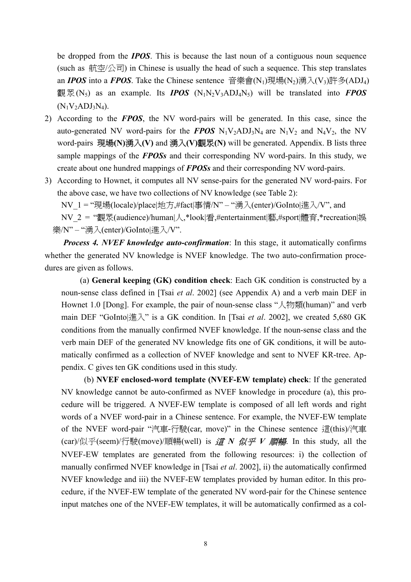be dropped from the *IPOS*. This is because the last noun of a contiguous noun sequence (such as 航空/公司) in Chinese is usually the head of such a sequence. This step translates an *IPOS* into a *FPOS*. Take the Chinese sentence 音樂會(N<sub>1</sub>)現場(N<sub>2</sub>)湧入(V<sub>3</sub>)許多(ADJ<sub>4</sub>) 觀眾(N<sub>5</sub>) as an example. Its *IPOS* (N<sub>1</sub>N<sub>2</sub>V<sub>3</sub>ADJ<sub>4</sub>N<sub>5</sub>) will be translated into *FPOS*  $(N_1V_2ADJ_3N_4)$ .

- 2) According to the *FPOS*, the NV word-pairs will be generated. In this case, since the auto-generated NV word-pairs for the **FPOS**  $N_1V_2ADJ_3N_4$  are  $N_1V_2$  and  $N_4V_2$ , the NV word-pairs 現場**(N)**湧入**(V)** and 湧入**(V)**觀眾**(N)** will be generated. Appendix. B lists three sample mappings of the *FPOSs* and their corresponding NV word-pairs. In this study, we create about one hundred mappings of *FPOSs* and their corresponding NV word-pairs.
- 3) According to Hownet, it computes all NV sense-pairs for the generated NV word-pairs. For the above case, we have two collections of NV knowledge (see Table 2):

NV\_1 = "現場(locale)/place|地方,#fact|事情/N" – "湧入(enter)/GoInto|進入/V", and

NV\_2 = "觀眾(audience)/human|人,\*look|看,#entertainment|藝,#sport|體育,\*recreation|娛 樂/N" – "湧入(enter)/GoInto|進入/V".

*Process 4. NVEF knowledge auto-confirmation*: In this stage, it automatically confirms whether the generated NV knowledge is NVEF knowledge. The two auto-confirmation procedures are given as follows.

(a) **General keeping (GK) condition check**: Each GK condition is constructed by a noun-sense class defined in [Tsai *et al*. 2002] (see Appendix A) and a verb main DEF in Hownet 1.0 [Dong]. For example, the pair of noun-sense class "人物類(human)" and verb main DEF "GoInto|進入" is a GK condition. In [Tsai *et al*. 2002], we created 5,680 GK conditions from the manually confirmed NVEF knowledge. If the noun-sense class and the verb main DEF of the generated NV knowledge fits one of GK conditions, it will be automatically confirmed as a collection of NVEF knowledge and sent to NVEF KR-tree. Appendix. C gives ten GK conditions used in this study.

 (b) **NVEF enclosed-word template (NVEF-EW template) check**: If the generated NV knowledge cannot be auto-confirmed as NVEF knowledge in procedure (a), this procedure will be triggered. A NVEF-EW template is composed of all left words and right words of a NVEF word-pair in a Chinese sentence. For example, the NVEF-EW template of the NVEF word-pair "汽車-行駛(car, move)" in the Chinese sentence 這(this)/汽車 (car)/似乎(seem)/行駛(move)/順暢(well) is 這 *N* 似乎 *V* 順暢. In this study, all the NVEF-EW templates are generated from the following resources: i) the collection of manually confirmed NVEF knowledge in [Tsai *et al*. 2002], ii) the automatically confirmed NVEF knowledge and iii) the NVEF-EW templates provided by human editor. In this procedure, if the NVEF-EW template of the generated NV word-pair for the Chinese sentence input matches one of the NVEF-EW templates, it will be automatically confirmed as a col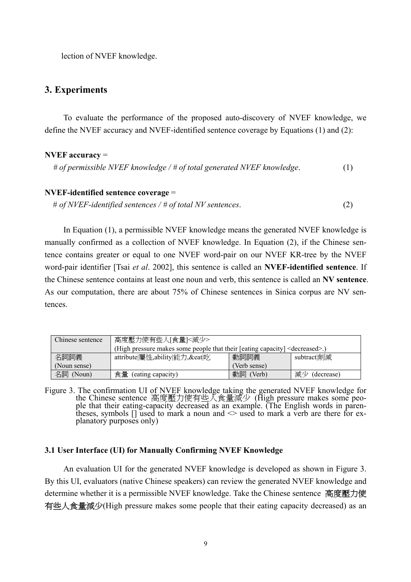lection of NVEF knowledge.

## **3. Experiments**

To evaluate the performance of the proposed auto-discovery of NVEF knowledge, we define the NVEF accuracy and NVEF-identified sentence coverage by Equations (1) and (2):

#### **NVEF accuracy** =

*# of permissible NVEF knowledge / # of total generated NVEF knowledge*. (1)

## **NVEF-identified sentence coverage** =

# *of NVEF-identified sentences / # of total NV sentences*. (2)

In Equation (1), a permissible NVEF knowledge means the generated NVEF knowledge is manually confirmed as a collection of NVEF knowledge. In Equation (2), if the Chinese sentence contains greater or equal to one NVEF word-pair on our NVEF KR-tree by the NVEF word-pair identifier [Tsai *et al*. 2002], this sentence is called an **NVEF-identified sentence**. If the Chinese sentence contains at least one noun and verb, this sentence is called an **NV sentence**. As our computation, there are about 75% of Chinese sentences in Sinica corpus are NV sentences.

| Chinese sentence | 高度壓力使有些人[食量]<減少>                                                                        |              |                  |  |
|------------------|-----------------------------------------------------------------------------------------|--------------|------------------|--|
|                  | (High pressure makes some people that their [eating capacity] <decreased>.)</decreased> |              |                  |  |
| 名詞詞義             | attribute 屬性,ability 能力,&eat 吃                                                          | 動詞詞義         | subtract削減       |  |
| (Noun sense)     |                                                                                         | (Verb sense) |                  |  |
| 名詞 (Noun)        | 食量<br>(eating capacity)                                                                 | 動詞<br>(Verb) | 減少<br>(decrease) |  |

Figure 3. The confirmation UI of NVEF knowledge taking the generated NVEF knowledge for the Chinese sentence 高度壓力使有些人食量減少 (High pressure makes some people that their eating-capacity decreased as an example. (The English words in parentheses, symbols  $\Box$  used to mark a noun and  $\Diamond$  used to mark a verb are there for explanatory purposes only)

#### **3.1 User Interface (UI) for Manually Confirming NVEF Knowledge**

An evaluation UI for the generated NVEF knowledge is developed as shown in Figure 3. By this UI, evaluators (native Chinese speakers) can review the generated NVEF knowledge and determine whether it is a permissible NVEF knowledge. Take the Chinese sentence 高度壓力使 有些人食量減少(High pressure makes some people that their eating capacity decreased) as an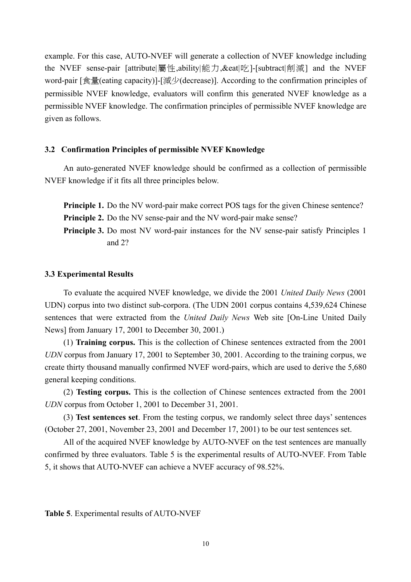example. For this case, AUTO-NVEF will generate a collection of NVEF knowledge including the NVEF sense-pair [attribute|屬性,ability|能力,&eat|吃]-[subtract|削減] and the NVEF word-pair [食量(eating capacity)]-[減少(decrease)]. According to the confirmation principles of permissible NVEF knowledge, evaluators will confirm this generated NVEF knowledge as a permissible NVEF knowledge. The confirmation principles of permissible NVEF knowledge are given as follows.

#### **3.2 Confirmation Principles of permissible NVEF Knowledge**

An auto-generated NVEF knowledge should be confirmed as a collection of permissible NVEF knowledge if it fits all three principles below.

**Principle 1.** Do the NV word-pair make correct POS tags for the given Chinese sentence? **Principle 2.** Do the NV sense-pair and the NV word-pair make sense?

**Principle 3.** Do most NV word-pair instances for the NV sense-pair satisfy Principles 1 and 2?

#### **3.3 Experimental Results**

To evaluate the acquired NVEF knowledge, we divide the 2001 *United Daily News* (2001 UDN) corpus into two distinct sub-corpora. (The UDN 2001 corpus contains 4,539,624 Chinese sentences that were extracted from the *United Daily News* Web site [On-Line United Daily News] from January 17, 2001 to December 30, 2001.)

(1) **Training corpus.** This is the collection of Chinese sentences extracted from the 2001 *UDN* corpus from January 17, 2001 to September 30, 2001. According to the training corpus, we create thirty thousand manually confirmed NVEF word-pairs, which are used to derive the 5,680 general keeping conditions.

(2) **Testing corpus.** This is the collection of Chinese sentences extracted from the 2001 *UDN* corpus from October 1, 2001 to December 31, 2001.

(3) **Test sentences set**. From the testing corpus, we randomly select three days' sentences (October 27, 2001, November 23, 2001 and December 17, 2001) to be our test sentences set.

All of the acquired NVEF knowledge by AUTO-NVEF on the test sentences are manually confirmed by three evaluators. Table 5 is the experimental results of AUTO-NVEF. From Table 5, it shows that AUTO-NVEF can achieve a NVEF accuracy of 98.52%.

**Table 5**. Experimental results of AUTO-NVEF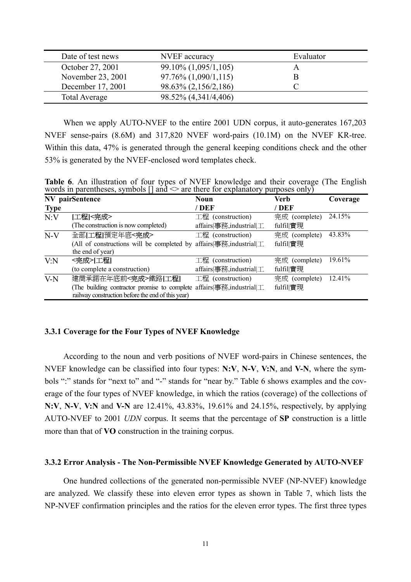| Date of test news | NVEF accuracy           | Evaluator |
|-------------------|-------------------------|-----------|
| October 27, 2001  | 99.10% (1,095/1,105)    |           |
| November 23, 2001 | $97.76\% (1,090/1,115)$ | в         |
| December 17, 2001 | 98.63% (2,156/2,186)    |           |
| Total Average     | 98.52% (4,341/4,406)    |           |

When we apply AUTO-NVEF to the entire 2001 UDN corpus, it auto-generates 167,203 NVEF sense-pairs (8.6M) and 317,820 NVEF word-pairs (10.1M) on the NVEF KR-tree. Within this data, 47% is generated through the general keeping conditions check and the other 53% is generated by the NVEF-enclosed word templates check.

**Table 6**. An illustration of four types of NVEF knowledge and their coverage (The English words in parentheses, symbols  $\left[\right]$  and  $\leq$  are there for explanatory purposes only)

|             | NV pairSentence                                                                                      | <b>Noun</b>              | Verb          | Coverage |
|-------------|------------------------------------------------------------------------------------------------------|--------------------------|---------------|----------|
| <b>Type</b> |                                                                                                      | / DEF                    | / DEF         |          |
| N:V         | 工程 <完成>                                                                                              | 工程 (construction)        | 完成 (complete) | 24.15%   |
|             | (The construction is now completed)                                                                  | affairs 事務, industrial 工 | fulfil 實現     |          |
| $N-V$       | 全部[工程]預定年底<完成>                                                                                       | 工程 (construction)        | 完成 (complete) | 43.83%   |
|             | (All of constructions will be completed by affairs $ \equiv$ 務, industrial $ \perp$ .                |                          | fulfil 實現     |          |
|             | the end of year)                                                                                     |                          |               |          |
| V:N         | <完成> 工程                                                                                              | 工程 (construction)        | 完成 (complete) | 19.61%   |
|             | (to complete a construction)                                                                         | affairs 事務, industrial 工 | fulfil 實現     |          |
| $V-N$       | 建商承諾在年底前<完成>鐵路[工程]                                                                                   | 工程 (construction)        | 完成 (complete) | 12.41%   |
|             | (The building contractor promise to complete affairs $\equiv$ $\frac{3\pi}{12}$ , industrial $\perp$ |                          | fulfil 實現     |          |
|             | railway construction before the end of this year)                                                    |                          |               |          |

#### **3.3.1 Coverage for the Four Types of NVEF Knowledge**

According to the noun and verb positions of NVEF word-pairs in Chinese sentences, the NVEF knowledge can be classified into four types: **N:V**, **N-V**, **V:N**, and **V-N**, where the symbols ":" stands for "next to" and "-" stands for "near by." Table 6 shows examples and the coverage of the four types of NVEF knowledge, in which the ratios (coverage) of the collections of **N:V**, **N-V**, **V:N** and **V-N** are 12.41%, 43.83%, 19.61% and 24.15%, respectively, by applying AUTO-NVEF to 2001 *UDN* corpus. It seems that the percentage of **SP** construction is a little more than that of **VO** construction in the training corpus.

#### **3.3.2 Error Analysis - The Non-Permissible NVEF Knowledge Generated by AUTO-NVEF**

One hundred collections of the generated non-permissible NVEF (NP-NVEF) knowledge are analyzed. We classify these into eleven error types as shown in Table 7, which lists the NP-NVEF confirmation principles and the ratios for the eleven error types. The first three types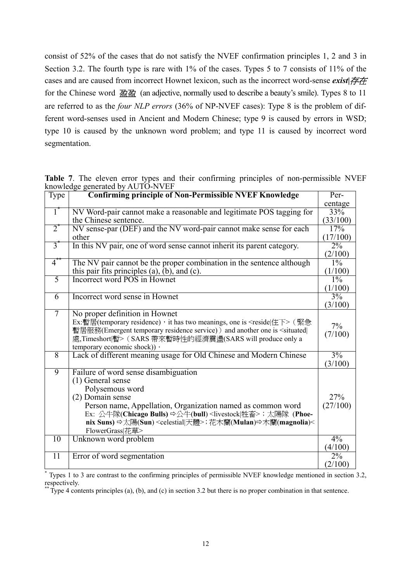consist of 52% of the cases that do not satisfy the NVEF confirmation principles 1, 2 and 3 in Section 3.2. The fourth type is rare with 1% of the cases. Types 5 to 7 consists of 11% of the cases and are caused from incorrect Hownet lexicon, such as the incorrect word-sense *exist|*存在 for the Chinese word 盈盈 (an adjective, normally used to describe a beauty's smile). Types 8 to 11 are referred to as the *four NLP errors* (36% of NP-NVEF cases): Type 8 is the problem of different word-senses used in Ancient and Modern Chinese; type 9 is caused by errors in WSD; type 10 is caused by the unknown word problem; and type 11 is caused by incorrect word segmentation.

| Type             | <b>Confirming principle of Non-Permissible NVEF Knowledge</b>                                                  | Per-     |
|------------------|----------------------------------------------------------------------------------------------------------------|----------|
|                  |                                                                                                                | centage  |
| $\overline{1}$   | NV Word-pair cannot make a reasonable and legitimate POS tagging for                                           | 33%      |
|                  | the Chinese sentence.                                                                                          | (33/100) |
| $\overline{2}$   | NV sense-par (DEF) and the NV word-pair cannot make sense for each                                             | 17%      |
|                  | other                                                                                                          | (17/100) |
| $\overline{3}$   | In this NV pair, one of word sense cannot inherit its parent category.                                         | $2\%$    |
|                  |                                                                                                                | (2/100)  |
| $\overline{4}^*$ | The $N\overline{V}$ pair cannot be the proper combination in the sentence although                             | $1\%$    |
|                  | this pair fits principles $(a)$ , $(b)$ , and $(c)$ .                                                          | (1/100)  |
| $\overline{5}$   | Incorrect word POS in Hownet                                                                                   | $1\%$    |
|                  |                                                                                                                | (1/100)  |
| 6                | Incorrect word sense in Hownet                                                                                 | 3%       |
|                  |                                                                                                                | (3/100)  |
| $7\phantom{.0}$  | No proper definition in Hownet                                                                                 |          |
|                  | Ex:暫居(temporary residence), it has two meanings, one is <reside 住下=""> (緊急</reside>                            |          |
|                  | 暫居服務(Emergent temporary residence service)) and another one is <situated< td=""><td>7%</td></situated<>        | 7%       |
|                  | 處,Timeshort 暫> (SARS 帶來暫時性的經濟震盪(SARS will produce only a                                                       | (7/100)  |
|                  | temporary economic shock)) ·                                                                                   |          |
| $\overline{8}$   | Lack of different meaning usage for Old Chinese and Modern Chinese                                             | 3%       |
|                  |                                                                                                                | (3/100)  |
| $\overline{9}$   | Failure of word sense disambiguation                                                                           |          |
|                  | (1) General sense                                                                                              |          |
|                  | Polysemous word                                                                                                |          |
|                  | (2) Domain sense                                                                                               | 27%      |
|                  | Person name, Appellation, Organization named as common word                                                    | (27/100) |
|                  | Ex: 公牛隊(Chicago Bulls) ☆公牛(bull) <livestock 牲畜>; 太陽隊 (Phoe-</livestock 牲畜>                                     |          |
|                  | nix Suns) ☆太陽(Sun) <celestial 天體="">; 花木蘭(Mulan) ☆木蘭(magnolia)&lt;</celestial>                                 |          |
|                  | FlowerGrass 花草>                                                                                                |          |
| 10               | Unknown word problem                                                                                           | 4%       |
|                  |                                                                                                                | (4/100)  |
| $\overline{11}$  | Error of word segmentation                                                                                     | $2\%$    |
|                  |                                                                                                                | (2/100)  |
|                  | Types 1 to 3 are contrast to the confirming principles of permissible NVEF knowledge mentioned in section 3.2, |          |

**Table 7**. The eleven error types and their confirming principles of non-permissible NVEF knowledge generated by AUTO-NVEF

respectively. \*\* Type 4 contents principles (a), (b), and (c) in section 3.2 but there is no proper combination in that sentence.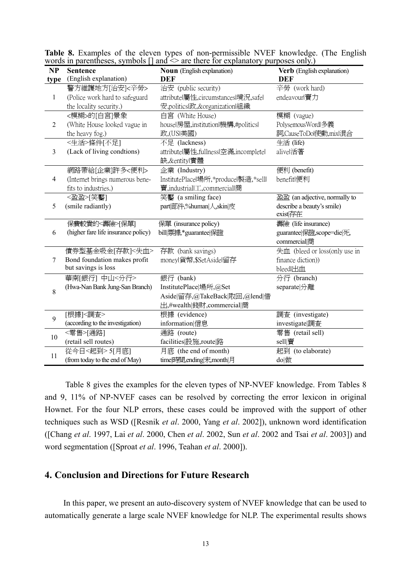| <b>NP</b>      | $\sim$ 0.00 m parentheses, $\sim$ / moons $\sim$ 1<br><b>Sentence</b> | $\mu$ and $\mu$ and $\mu$ and $\mu$ and $\mu$ and $\mu$ and $\mu$ and $\mu$ and $\mu$ and $\mu$ and $\mu$ and $\mu$ and $\mu$ and $\mu$ and $\mu$ and $\mu$ and $\mu$ and $\mu$ and $\mu$ and $\mu$ and $\mu$ and $\mu$ and $\mu$ and $\mu$ and $\mu$<br><b>Noun</b> (English explanation) | Verb (English explanation)    |
|----------------|-----------------------------------------------------------------------|--------------------------------------------------------------------------------------------------------------------------------------------------------------------------------------------------------------------------------------------------------------------------------------------|-------------------------------|
| type           | (English explanation)                                                 | <b>DEF</b>                                                                                                                                                                                                                                                                                 | <b>DEF</b>                    |
|                | 警方維護地方[治安]<辛勞>                                                        | 治安 (public security)                                                                                                                                                                                                                                                                       | 辛勞 (work hard)                |
| $\mathbf{1}$   | (Police work hard to safeguard                                        | attributel屬性,circumstancesl境況,safel                                                                                                                                                                                                                                                        | endeavourl賣力                  |
|                | the locality security.)                                               | 安,politicsl政,&organizationl組織                                                                                                                                                                                                                                                              |                               |
|                | <模糊>的[白宮]景象                                                           | 白宮 (White House)                                                                                                                                                                                                                                                                           | 模糊 (vague)                    |
| $\overline{2}$ | (White House looked vague in                                          | housel房屋, institutionl機構, #politicsl                                                                                                                                                                                                                                                       | PolysemousWordl多義             |
|                | the heavy fog.)                                                       | 政,(USI美國)                                                                                                                                                                                                                                                                                  | 詞,CauseToDol使動,mixl混合         |
|                | <生活>條件[不足]                                                            | 不足 (lackness)                                                                                                                                                                                                                                                                              | 生活 (life)                     |
| 3              | (Lack of living condtions)                                            | attributel屬性,fullnessl空滿,incompletel                                                                                                                                                                                                                                                       | alivel活著                      |
|                |                                                                       | 缺, & entityl實體                                                                                                                                                                                                                                                                             |                               |
|                | 網路帶給[企業]許多<便利>                                                        | 企業 (Industry)                                                                                                                                                                                                                                                                              | 便利 (benefit)                  |
| $\overline{4}$ | (Internet brings numerous bene-                                       | InstitutePlacel場所,*producel製造,*selll                                                                                                                                                                                                                                                       | benefitl便利                    |
|                | fits to industries.)                                                  | 賣,industriall工,commerciall商                                                                                                                                                                                                                                                                |                               |
|                | <盈盈>「笑靨]                                                              | 笑靨 (a smiling face)                                                                                                                                                                                                                                                                        | 盈盈 (an adjective, normally to |
| 5              | (smile radiantly)                                                     | part 部件,%human 人,skin 皮                                                                                                                                                                                                                                                                    | describe a beauty's smile)    |
|                |                                                                       |                                                                                                                                                                                                                                                                                            | exist存在                       |
|                | 保費較貴的<壽險>[保單]                                                         | 保單 (insurance policy)                                                                                                                                                                                                                                                                      | 壽險 (life insurance)           |
| 6              | (higher fare life insurance policy)                                   | bill票據,*guarantee 保證                                                                                                                                                                                                                                                                       | guarantee 保證,scope=die 死,     |
|                |                                                                       |                                                                                                                                                                                                                                                                                            | commercial商                   |
|                | 債券型基金吸金[存款]<失血>                                                       | 存款 (bank savings)                                                                                                                                                                                                                                                                          | 失血 (bleed or loss(only use in |
| 7              | Bond foundation makes profit                                          | moneyl貨幣, \$SetAsidel留存                                                                                                                                                                                                                                                                    | finance diction))             |
|                | but savings is loss                                                   |                                                                                                                                                                                                                                                                                            | bleedl出血                      |
|                | 華南[銀行] 中山<分行>                                                         | 銀行 (bank)                                                                                                                                                                                                                                                                                  | 分行 (branch)                   |
| 8              | (Hwa-Nan Bank Jung-San Branch)                                        | InstitutePlace 場所,@Set                                                                                                                                                                                                                                                                     | separate 分離                   |
|                |                                                                       | Aside 留存,@TakeBack 取回,@lend 借                                                                                                                                                                                                                                                              |                               |
|                |                                                                       | 出,#wealth 錢財,commercial 商                                                                                                                                                                                                                                                                  |                               |
| 9              | [根據]<調査>                                                              | 根據 (evidence)                                                                                                                                                                                                                                                                              | 調査 (investigate)              |
|                | (according to the investigation)                                      | information 信息                                                                                                                                                                                                                                                                             | investigate 調査                |
| 10             | <零售>[通路]                                                              | 通路 (route)                                                                                                                                                                                                                                                                                 | 零售 (retail sell)              |
|                | (retail sell routes)                                                  | facilities 設施, route   路                                                                                                                                                                                                                                                                   | sell 賣                        |
| 11             | 從今日<起到> 5[月底]                                                         | 月底 (the end of month)                                                                                                                                                                                                                                                                      | 起到 (to elaborate)             |
|                | (from today to the end of May)                                        | time 時間,ending 末,month 月                                                                                                                                                                                                                                                                   | do 做                          |

**Table 8.** Examples of the eleven types of non-permissible NVEF knowledge. (The English words in parentheses, symbols  $\lceil \rceil$  and  $\leq$  are there for explanatory purposes only.)

Table 8 gives the examples for the eleven types of NP-NVEF knowledge. From Tables 8 and 9, 11% of NP-NVEF cases can be resolved by correcting the error lexicon in original Hownet. For the four NLP errors, these cases could be improved with the support of other techniques such as WSD ([Resnik *et al*. 2000, Yang *et al*. 2002]), unknown word identification ([Chang *et al*. 1997, Lai *et al*. 2000, Chen *et al*. 2002, Sun *et al*. 2002 and Tsai *et al*. 2003]) and word segmentation ([Sproat *et al*. 1996, Teahan *et al*. 2000]).

## **4. Conclusion and Directions for Future Research**

In this paper, we present an auto-discovery system of NVEF knowledge that can be used to automatically generate a large scale NVEF knowledge for NLP. The experimental results shows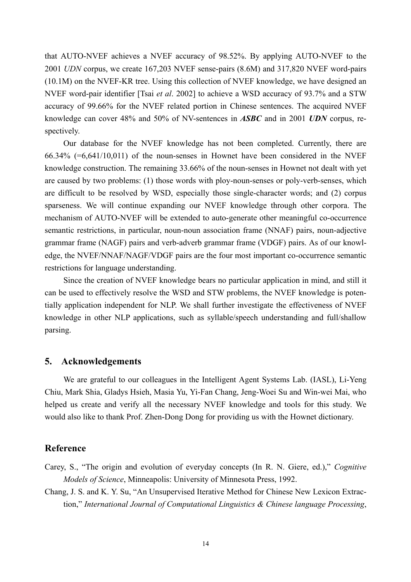that AUTO-NVEF achieves a NVEF accuracy of 98.52%. By applying AUTO-NVEF to the 2001 *UDN* corpus, we create 167,203 NVEF sense-pairs (8.6M) and 317,820 NVEF word-pairs (10.1M) on the NVEF-KR tree. Using this collection of NVEF knowledge, we have designed an NVEF word-pair identifier [Tsai *et al*. 2002] to achieve a WSD accuracy of 93.7% and a STW accuracy of 99.66% for the NVEF related portion in Chinese sentences. The acquired NVEF knowledge can cover 48% and 50% of NV-sentences in *ASBC* and in 2001 *UDN* corpus, respectively.

Our database for the NVEF knowledge has not been completed. Currently, there are 66.34% (=6,641/10,011) of the noun-senses in Hownet have been considered in the NVEF knowledge construction. The remaining 33.66% of the noun-senses in Hownet not dealt with yet are caused by two problems: (1) those words with ploy-noun-senses or poly-verb-senses, which are difficult to be resolved by WSD, especially those single-character words; and (2) corpus sparseness. We will continue expanding our NVEF knowledge through other corpora. The mechanism of AUTO-NVEF will be extended to auto-generate other meaningful co-occurrence semantic restrictions, in particular, noun-noun association frame (NNAF) pairs, noun-adjective grammar frame (NAGF) pairs and verb-adverb grammar frame (VDGF) pairs. As of our knowledge, the NVEF/NNAF/NAGF/VDGF pairs are the four most important co-occurrence semantic restrictions for language understanding.

Since the creation of NVEF knowledge bears no particular application in mind, and still it can be used to effectively resolve the WSD and STW problems, the NVEF knowledge is potentially application independent for NLP. We shall further investigate the effectiveness of NVEF knowledge in other NLP applications, such as syllable/speech understanding and full/shallow parsing.

### **5. Acknowledgements**

We are grateful to our colleagues in the Intelligent Agent Systems Lab. (IASL), Li-Yeng Chiu, Mark Shia, Gladys Hsieh, Masia Yu, Yi-Fan Chang, Jeng-Woei Su and Win-wei Mai, who helped us create and verify all the necessary NVEF knowledge and tools for this study. We would also like to thank Prof. Zhen-Dong Dong for providing us with the Hownet dictionary.

## **Reference**

- Carey, S., "The origin and evolution of everyday concepts (In R. N. Giere, ed.)," *Cognitive Models of Science*, Minneapolis: University of Minnesota Press, 1992.
- Chang, J. S. and K. Y. Su, "An Unsupervised Iterative Method for Chinese New Lexicon Extraction," *International Journal of Computational Linguistics & Chinese language Processing*,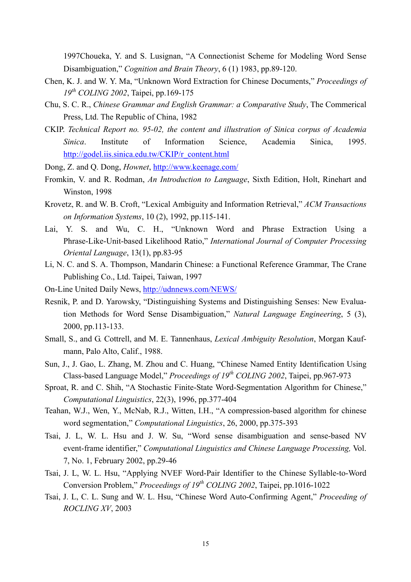1997Choueka, Y. and S. Lusignan, "A Connectionist Scheme for Modeling Word Sense Disambiguation," *Cognition and Brain Theory*, 6 (1) 1983, pp.89-120.

- Chen, K. J. and W. Y. Ma, "Unknown Word Extraction for Chinese Documents," *Proceedings of 19th COLING 2002*, Taipei, pp.169-175
- Chu, S. C. R., *Chinese Grammar and English Grammar: a Comparative Study*, The Commerical Press, Ltd. The Republic of China, 1982
- CKIP. *Technical Report no. 95-02, the content and illustration of Sinica corpus of Academia Sinica*. Institute of Information Science, Academia Sinica, 1995. [http://godel.iis.sinica.edu.tw/CKIP/r\\_content.html](http://godel.iis.sinica.edu.tw/CKIP/r_content.html)
- Dong, Z. and Q. Dong, *Hownet*, <http://www.keenage.com/>
- Fromkin, V. and R. Rodman, *An Introduction to Language*, Sixth Edition, Holt, Rinehart and Winston, 1998
- Krovetz, R. and W. B. Croft, "Lexical Ambiguity and Information Retrieval," *ACM Transactions on Information Systems*, 10 (2), 1992, pp.115-141.
- Lai, Y. S. and Wu, C. H., "Unknown Word and Phrase Extraction Using a Phrase-Like-Unit-based Likelihood Ratio," *International Journal of Computer Processing Oriental Language*, 13(1), pp.83-95
- Li, N. C. and S. A. Thompson, Mandarin Chinese: a Functional Reference Grammar, The Crane Publishing Co., Ltd. Taipei, Taiwan, 1997
- On-Line United Daily News,<http://udnnews.com/NEWS/>
- Resnik, P. and D. Yarowsky, "Distinguishing Systems and Distinguishing Senses: New Evaluation Methods for Word Sense Disambiguation," *Natural Language Engineering*, 5 (3), 2000, pp.113-133.
- Small, S., and G. Cottrell, and M. E. Tannenhaus, *Lexical Ambiguity Resolution*, Morgan Kaufmann, Palo Alto, Calif., 1988.
- Sun, J., J. Gao, L. Zhang, M. Zhou and C. Huang, "Chinese Named Entity Identification Using Class-based Language Model," *Proceedings of 19th COLING 2002*, Taipei, pp.967-973
- Sproat, R. and C. Shih, "A Stochastic Finite-State Word-Segmentation Algorithm for Chinese," *Computational Linguistics*, 22(3), 1996, pp.377-404
- Teahan, W.J., Wen, Y., McNab, R.J., Witten, I.H., "A compression-based algorithm for chinese word segmentation," *Computational Linguistics*, 26, 2000, pp.375-393
- Tsai, J. L, W. L. Hsu and J. W. Su, "Word sense disambiguation and sense-based NV event-frame identifier," *Computational Linguistics and Chinese Language Processing,* Vol. 7, No. 1, February 2002, pp.29-46
- Tsai, J. L, W. L. Hsu, "Applying NVEF Word-Pair Identifier to the Chinese Syllable-to-Word Conversion Problem," *Proceedings of 19th COLING 2002*, Taipei, pp.1016-1022
- Tsai, J. L, C. L. Sung and W. L. Hsu, "Chinese Word Auto-Confirming Agent," *Proceeding of ROCLING XV*, 2003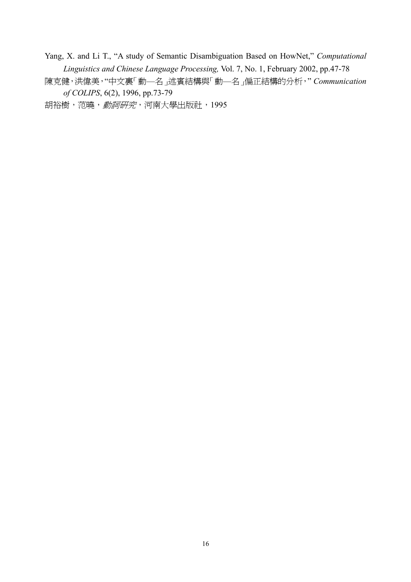Yang, X. and Li T., "A study of Semantic Disambiguation Based on HowNet," *Computational Linguistics and Chinese Language Processing,* Vol. 7, No. 1, February 2002, pp.47-78

陳克健,洪偉美,"中文裏「動—名」述賓結構與「動—名」偏正結構的分析," *Communication of COLIPS*, 6(2), 1996, pp.73-79

胡裕樹,范曉, 動詞研究, 河南大學出版社, 1995